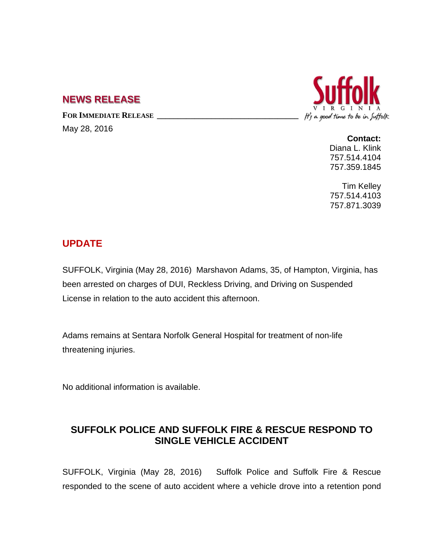## **NEWS RELEASE**

FOR IMMEDIATE RELEASE

May 28, 2016



**Contact:** Diana L. Klink 757.514.4104 757.359.1845

Tim Kelley 757.514.4103 757.871.3039

## **UPDATE**

SUFFOLK, Virginia (May 28, 2016) Marshavon Adams, 35, of Hampton, Virginia, has been arrested on charges of DUI, Reckless Driving, and Driving on Suspended License in relation to the auto accident this afternoon.

Adams remains at Sentara Norfolk General Hospital for treatment of non-life threatening injuries.

No additional information is available.

## **SUFFOLK POLICE AND SUFFOLK FIRE & RESCUE RESPOND TO SINGLE VEHICLE ACCIDENT**

SUFFOLK, Virginia (May 28, 2016) Suffolk Police and Suffolk Fire & Rescue responded to the scene of auto accident where a vehicle drove into a retention pond